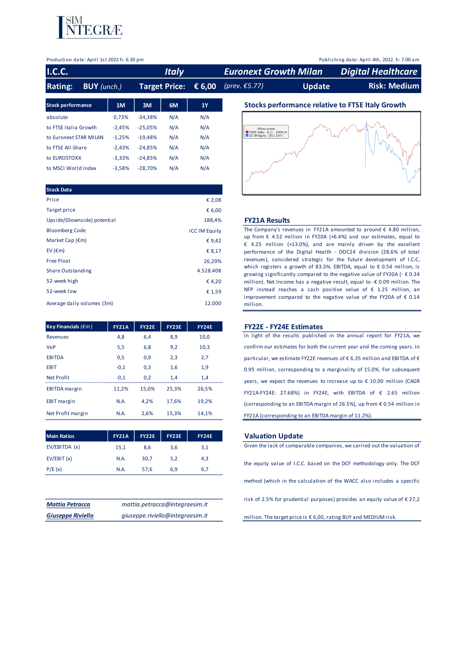

#### Production date: April 1st 2022 h: 6.30 pm Publishing date: April 4th, 2022. h: 7.00 am

| <b>I.C.C.</b>                        |          |           | <b>Italy</b>         |        | <b>Euronext Growth Milan</b>                             |               | <b>Digital Healthcare</b>                               |
|--------------------------------------|----------|-----------|----------------------|--------|----------------------------------------------------------|---------------|---------------------------------------------------------|
| <b>Rating:</b><br><b>BUY</b> (unch.) |          |           | <b>Target Price:</b> | € 6,00 | $(prev. \epsilon 5.77)$                                  | <b>Update</b> | <b>Risk: Medium</b>                                     |
| <b>Stock performance</b>             | 1M       | 3M        | 6M                   | 1Y     |                                                          |               | <b>Stocks performance relative to FTSE Italy Growth</b> |
| absolute                             | 0,73%    | $-34.38%$ | N/A                  | N/A    |                                                          |               |                                                         |
| to FTSE Italia Growth                | $-2,45%$ | $-25,05%$ | N/A                  | N/A    | Ultimo prezzo                                            |               |                                                         |
| to Euronext STAR MILAN               | $-1,25%$ | $-19,48%$ | N/A                  | N/A    | TAIM Index (L1) 10444.24<br>$ICC$ IM Equity $(R1)$ 2.075 |               |                                                         |
| to FTSE All-Share                    | $-2,43%$ | $-24,85%$ | N/A                  | N/A    |                                                          |               |                                                         |
| to EUROSTOXX                         | $-3,33%$ | $-24.85%$ | N/A                  | N/A    |                                                          |               |                                                         |
| to MSCI World Index                  | $-3,58%$ | $-28.70%$ | N/A                  | N/A    | $\sim$ $\sim$                                            |               |                                                         |

| <b>Stock Data</b>           |                      |
|-----------------------------|----------------------|
| Price                       | € 2,08               |
| <b>Target price</b>         | € 6,00               |
| Upside/(Downside) potential | 188,4%               |
| <b>Bloomberg Code</b>       | <b>ICC IM Equity</b> |
| Market Cap $(\epsilon m)$   | € 9,42               |
| EV ( $\epsilon$ m)          | € 8,17               |
| <b>Free Float</b>           | 26,29%               |
| <b>Share Outstanding</b>    | 4.528.408            |
| 52-week high                | €4,20                |
| 52-week low                 | € 1,59               |
| Average daily volumes (3m)  | 12.000               |

| <b>Key Financials (</b> $\epsilon$ <i>m</i> ) | <b>FY21A</b> | <b>FY22E</b> | <b>FY23E</b> | <b>FY24E</b> |
|-----------------------------------------------|--------------|--------------|--------------|--------------|
| <b>Revenues</b>                               | 4,8          | 6,4          | 8,9          | 10,0         |
| <b>VoP</b>                                    | 5,5          | 6,8          | 9,2          | 10,3         |
| <b>EBITDA</b>                                 | 0,5          | 0,9          | 2,3          | 2,7          |
| EBIT                                          | $-0,1$       | 0,3          | 1,6          | 1,9          |
| <b>Net Profit</b>                             | $-0.1$       | 0,2          | 1,4          | 1,4          |
| <b>EBITDA</b> margin                          | 11,2%        | 15.0%        | 25.3%        | 26,5%        |
| <b>EBIT</b> margin                            | N.A.         | 4.2%         | 17,6%        | 19,2%        |
| Net Profit margin                             | N.A.         | 2.6%         | 15.3%        | 14.1%        |

| <b>Main Ratios</b> | <b>FY21A</b> | <b>FY22E</b> | FY23E | <b>FY24E</b> |
|--------------------|--------------|--------------|-------|--------------|
| EV/EBITDA (x)      | 15,1         | 8,6          | 3,6   | 3,1          |
| EV/EBIT(x)         | N.A.         | 30.7         | 5.2   | 4,3          |
| P/E(x)             | N.A.         | 57.6         | 6.9   | 6.7          |

| <b>Mattia Petracca</b>   | mattia.petracca@integraesim.it   |
|--------------------------|----------------------------------|
| <b>Giuseppe Riviello</b> | giuseppe.riviello@integraesim.it |



#### Upside/(Downside) potential 188,4% **FY21A Results**

The Company's revenues in FY21A amounted to around  $\epsilon$  4.80 million, up from  $\epsilon$  4.52 million in FY20A (+6.4%) and our estimates, equal to € 4.25 million (+13.0%), and are mainly driven by the excellent performance of the Digital Health - DOC24 division (28.6% of total revenues), considered strategic for the future development of I.C.C, which registers a growth of 83.3%. EBITDA, equal to  $\epsilon$  0.54 million, is growing significantly compared to the negative value of FY20A (- € 0.34 million). Net Income has <sup>a</sup> negative result, equal to -€ 0.09 million. The NFP instead reaches a cash positive value of  $\epsilon$  1.25 million, an improvement compared to the negative value of the FY20A of  $\epsilon$  0.14 million.

### **FY21A FY22E FY23E FY24E FY22E - FY24E Estimates**

In light of the results published in the annual report for FY21A, we confirm our estimates for both the current year and the coming years. In particular, we estimate FY22E revenues of € 6.35 million and EBITDA of € 0.95 million, corresponding to <sup>a</sup> marginality of 15.0%. For subsequent years, we expect the revenues to increase up to € 10.00 million (CAGR FY21A-FY24E: 27.68%) in FY24E, with EBITDA of  $\epsilon$  2.65 million (corresponding to an EBITDA margin of 26.5%), up from  $\epsilon$  0.54 million in FY21A (corresponding to an EBITDA margin of 11.2%).

#### **Main Ratios FY21A FY22E FY23E FY24E Valuation Update**

Given the lack of comparable companies, we carried out the valuation of the equity value of I.C.C. based on the DCF methodology only. The DCF method (which in the calculation of the WACC also includes a specific risk of 2.5% for prudential purposes) provides an equity value of  $\epsilon$  27,2 million. The target price is € 6,00, rating BUY and MEDIUM risk.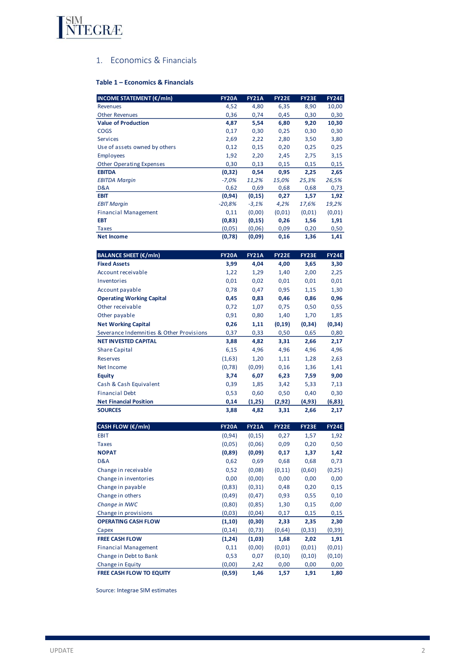

# 1. Economics & Financials

# **Table 1 – Economics & Financials**

| <b>INCOME STATEMENT (€/mln)</b>          | <b>FY20A</b> | <b>FY21A</b> | <b>FY22E</b> | FY23E        | <b>FY24E</b> |
|------------------------------------------|--------------|--------------|--------------|--------------|--------------|
| <b>Revenues</b>                          | 4,52         | 4,80         | 6,35         | 8,90         | 10,00        |
| <b>Other Revenues</b>                    | 0,36         | 0,74         | 0,45         | 0,30         | 0,30         |
| <b>Value of Production</b>               | 4,87         | 5,54         | 6,80         | 9,20         | 10,30        |
| <b>COGS</b>                              | 0,17         | 0,30         | 0,25         | 0,30         | 0,30         |
| <b>Services</b>                          | 2,69         | 2,22         | 2,80         | 3,50         | 3,80         |
| Use of assets owned by others            | 0,12         | 0,15         | 0,20         | 0,25         | 0,25         |
| <b>Employees</b>                         | 1,92         | 2,20         | 2,45         | 2,75         | 3,15         |
| <b>Other Operating Expenses</b>          | 0,30         | 0,13         | 0,15         | 0,15         | 0,15         |
| <b>EBITDA</b>                            | (0, 32)      | 0,54         | 0,95         | 2,25         | 2,65         |
| <b>EBITDA Margin</b>                     | $-7,0%$      | 11,2%        | 15,0%        | 25,3%        | 26,5%        |
| D&A                                      | 0,62         | 0,69         | 0,68         | 0,68         | 0,73         |
| <b>EBIT</b>                              | (0, 94)      | (0, 15)      | 0,27         | 1,57         | 1,92         |
| <b>EBIT Margin</b>                       | $-20,8%$     | $-3,1%$      | 4,2%         | 17,6%        | 19,2%        |
| <b>Financial Management</b>              | 0,11         | (0,00)       | (0,01)       | (0,01)       | (0, 01)      |
| <b>EBT</b>                               | (0,83)       | (0, 15)      | 0,26         | 1,56         | 1,91         |
| Taxes                                    | (0,05)       | (0,06)       | 0,09         | 0,20         | 0,50         |
| <b>Net Income</b>                        | (0,78)       | (0,09)       | 0,16         | 1,36         | 1,41         |
| <b>BALANCE SHEET (€/mln)</b>             | <b>FY20A</b> | <b>FY21A</b> | <b>FY22E</b> | <b>FY23E</b> | <b>FY24E</b> |
| <b>Fixed Assets</b>                      | 3,99         | 4,04         | 4,00         | 3,65         | 3,30         |
| Account receivable                       | 1,22         | 1,29         | 1,40         | 2,00         | 2,25         |
| Inventories                              | 0,01         | 0,02         | 0,01         | 0,01         | 0,01         |
| Account payable                          | 0,78         | 0,47         | 0,95         | 1,15         | 1,30         |
| <b>Operating Working Capital</b>         | 0,45         | 0,83         | 0,46         | 0,86         | 0,96         |
| Other receivable                         | 0,72         | 1,07         | 0,75         | 0,50         | 0,55         |
| Other payable                            | 0,91         | 0,80         | 1,40         | 1,70         |              |
|                                          |              |              |              |              | 1,85         |
| <b>Net Working Capital</b>               | 0,26         | 1,11         | (0, 19)      | (0, 34)      | (0, 34)      |
| Severance Indemnities & Other Provisions | 0,37         | 0,33         | 0,50         | 0,65         | 0,80         |
| <b>NET INVESTED CAPITAL</b>              | 3,88         | 4,82         | 3,31         | 2,66         | 2,17         |
| <b>Share Capital</b>                     | 6,15         | 4,96         | 4,96         | 4,96         | 4,96         |
| <b>Reserves</b>                          | (1,63)       | 1,20         | 1,11         | 1,28         | 2,63         |
| Net Income                               | (0, 78)      | (0,09)       | 0,16         | 1,36         | 1,41         |
| <b>Equity</b>                            | 3,74         | 6,07         | 6,23         | 7,59         | 9,00         |
| Cash & Cash Equivalent                   | 0,39         | 1,85         | 3,42         | 5,33         | 7,13         |
| <b>Financial Debt</b>                    | 0,53         | 0,60         | 0,50         | 0,40         | 0,30         |
| <b>Net Financial Position</b>            | 0,14         | (1,25)       | (2, 92)      | (4, 93)      | (6, 83)      |
| <b>SOURCES</b>                           | 3,88         | 4,82         | 3,31         | 2,66         | 2,17         |
| CASH FLOW (€/mln)                        | <b>FY20A</b> | <b>FY21A</b> | <b>FY22E</b> | <b>FY23E</b> | <b>FY24E</b> |
| <b>EBIT</b>                              | (0, 94)      | (0, 15)      | 0,27         | 1,57         | 1,92         |
| <b>Taxes</b>                             | (0,05)       | (0,06)       | 0,09         | 0,20         | 0,50         |
| <b>NOPAT</b>                             | (0,89)       | (0,09)       | 0,17         | 1,37         | 1,42         |
| D&A                                      | 0,62         | 0,69         | 0,68         | 0,68         | 0,73         |
| Change in receivable                     | 0,52         | (0,08)       | (0, 11)      | (0,60)       | (0, 25)      |
| Change in inventories                    | 0,00         | (0,00)       | 0,00         | 0,00         | 0,00         |
| Change in payable                        | (0, 83)      | (0, 31)      | 0,48         | 0,20         | 0,15         |
| Change in others                         | (0, 49)      | (0, 47)      | 0,93         | 0,55         | 0,10         |
| Change in NWC                            | (0, 80)      | (0, 85)      | 1,30         | 0,15         | 0,00         |
| Change in provisions                     | (0, 03)      | (0,04)       | 0,17         | 0,15         | 0,15         |
| <b>OPERATING CASH FLOW</b>               | (1, 10)      | (0,30)       | 2,33         | 2,35         | 2,30         |
| Capex                                    | (0, 14)      | (0, 73)      | (0,64)       | (0, 33)      | (0, 39)      |
| <b>FREE CASH FLOW</b>                    | (1, 24)      | (1,03)       | 1,68         | 2,02         | 1,91         |
| <b>Financial Management</b>              | 0,11         | (0,00)       | (0,01)       | (0, 01)      | (0, 01)      |
| Change in Debt to Bank                   | 0,53         | 0,07         | (0, 10)      | (0, 10)      | (0, 10)      |
| Change in Equity                         | (0,00)       | 2,42         | 0,00         | 0,00         |              |
| <b>FREE CASH FLOW TO EQUITY</b>          | (0, 59)      | 1,46         | 1,57         | 1,91         | 0,00<br>1,80 |
|                                          |              |              |              |              |              |

Source: Integrae SIM estimates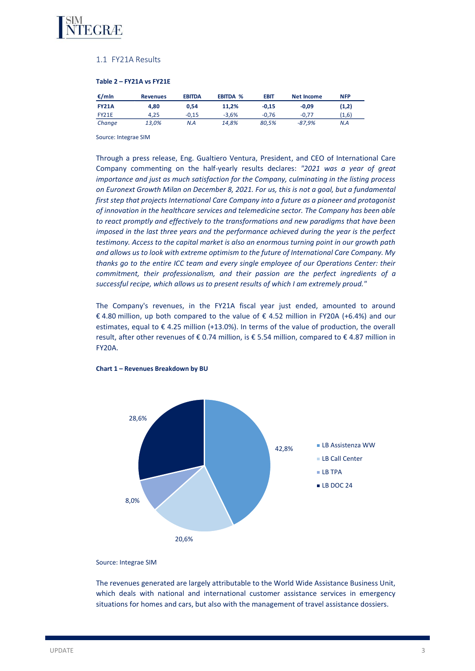

## 1.1 FY21A Results

# **Table 2 – FY21A vs FY21E**

| €/mln        | <b>Revenues</b> | <b>EBITDA</b> | <b>EBITDA %</b> | EBIT    | Net Income | <b>NFP</b> |
|--------------|-----------------|---------------|-----------------|---------|------------|------------|
| <b>FY21A</b> | 4.80            | 0.54          | 11.2%           | $-0.15$ | $-0.09$    | (1,2)      |
| FY21E        | 4.25            | $-0.15$       | $-3.6%$         | $-0.76$ | $-0.77$    | (1,6)      |
| Change       | 13,0%           | N.A           | 14.8%           | 80.5%   | -87.9%     | N.A        |

Source: Integrae SIM

Through a press release, Eng. Gualtiero Ventura, President, and CEO of International Care Company commenting on the half-yearly results declares: *"2021 was a year of great importance and just as much satisfaction for the Company, culminating in the listing process on Euronext Growth Milan on December 8, 2021. For us, this is not a goal, but a fundamental first step that projects International Care Company into a future as a pioneer and protagonist of innovation in the healthcare services and telemedicine sector. The Company has been able to react promptly and effectively to the transformations and new paradigms that have been imposed in the last three years and the performance achieved during the year is the perfect testimony. Access to the capital market is also an enormous turning point in our growth path and allows us to look with extreme optimism to the future of International Care Company. My thanks go to the entire ICC team and every single employee of our Operations Center: their commitment, their professionalism, and their passion are the perfect ingredients of a successful recipe, which allows us to present results of which I am extremely proud."*

The Company's revenues, in the FY21A fiscal year just ended, amounted to around € 4.80 million, up both compared to the value of € 4.52 million in FY20A (+6.4%) and our estimates, equal to € 4.25 million (+13.0%). In terms of the value of production, the overall result, after other revenues of € 0.74 million, is € 5.54 million, compared to € 4.87 million in FY20A.



**Chart 1 – Revenues Breakdown by BU**

Source: Integrae SIM

The revenues generated are largely attributable to the World Wide Assistance Business Unit, which deals with national and international customer assistance services in emergency situations for homes and cars, but also with the management of travel assistance dossiers.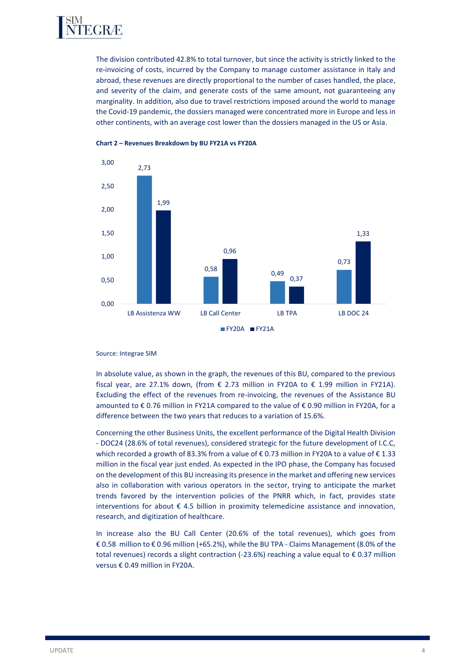

The division contributed 42.8% to total turnover, but since the activity is strictly linked to the re-invoicing of costs, incurred by the Company to manage customer assistance in Italy and abroad, these revenues are directly proportional to the number of cases handled, the place, and severity of the claim, and generate costs of the same amount, not guaranteeing any marginality. In addition, also due to travel restrictions imposed around the world to manage the Covid-19 pandemic, the dossiers managed were concentrated more in Europe and less in other continents, with an average cost lower than the dossiers managed in the US or Asia.



**Chart 2 – Revenues Breakdown by BU FY21A vs FY20A**

#### Source: Integrae SIM

In absolute value, as shown in the graph, the revenues of this BU, compared to the previous fiscal year, are 27.1% down, (from  $\epsilon$  2.73 million in FY20A to  $\epsilon$  1.99 million in FY21A). Excluding the effect of the revenues from re-invoicing, the revenues of the Assistance BU amounted to € 0.76 million in FY21A compared to the value of € 0.90 million in FY20A, for a difference between the two years that reduces to a variation of 15.6%.

Concerning the other Business Units, the excellent performance of the Digital Health Division - DOC24 (28.6% of total revenues), considered strategic for the future development of I.C.C, which recorded a growth of 83.3% from a value of €0.73 million in FY20A to a value of €1.33 million in the fiscal year just ended. As expected in the IPO phase, the Company has focused on the development of this BU increasing its presence in the market and offering new services also in collaboration with various operators in the sector, trying to anticipate the market trends favored by the intervention policies of the PNRR which, in fact, provides state interventions for about € 4.5 billion in proximity telemedicine assistance and innovation, research, and digitization of healthcare.

In increase also the BU Call Center (20.6% of the total revenues), which goes from € 0.58 million to € 0.96 million (+65.2%), while the BU TPA - Claims Management (8.0% of the total revenues) records a slight contraction (-23.6%) reaching a value equal to € 0.37 million versus € 0.49 million in FY20A.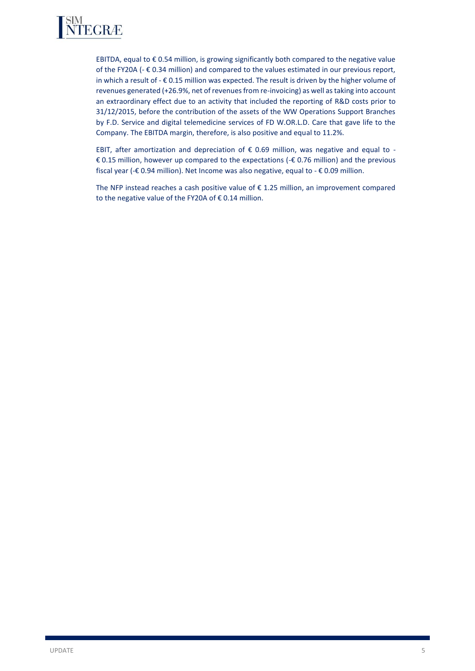

EBITDA, equal to  $\epsilon$  0.54 million, is growing significantly both compared to the negative value of the FY20A ( $-\epsilon$  0.34 million) and compared to the values estimated in our previous report, in which a result of  $-\epsilon$  0.15 million was expected. The result is driven by the higher volume of revenues generated (+26.9%, net of revenues from re-invoicing) as well as taking into account an extraordinary effect due to an activity that included the reporting of R&D costs prior to 31/12/2015, before the contribution of the assets of the WW Operations Support Branches by F.D. Service and digital telemedicine services of FD W.OR.L.D. Care that gave life to the Company. The EBITDA margin, therefore, is also positive and equal to 11.2%.

EBIT, after amortization and depreciation of  $\epsilon$  0.69 million, was negative and equal to -€ 0.15 million, however up compared to the expectations (-€ 0.76 million) and the previous fiscal year (-€ 0.94 million). Net Income was also negative, equal to - € 0.09 million.

The NFP instead reaches a cash positive value of  $\epsilon$  1.25 million, an improvement compared to the negative value of the FY20A of € 0.14 million.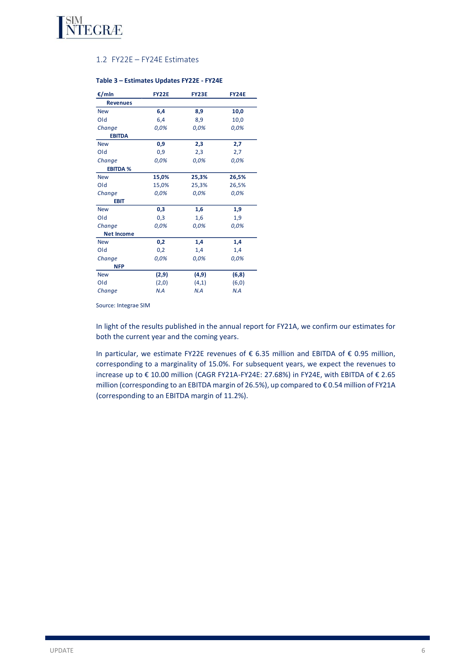

### 1.2 FY22E – FY24E Estimates

### **Table 3 – Estimates Updates FY22E - FY24E**

| €/mln             | <b>FY22E</b> | <b>FY23E</b> | <b>FY24E</b> |
|-------------------|--------------|--------------|--------------|
| <b>Revenues</b>   |              |              |              |
| <b>New</b>        | 6,4          | 8,9          | 10,0         |
| Old               | 6,4          | 8,9          | 10,0         |
| Change            | 0,0%         | 0,0%         | 0,0%         |
| <b>EBITDA</b>     |              |              |              |
| <b>New</b>        | 0,9          | 2,3          | 2,7          |
| Old               | 0,9          | 2,3          | 2,7          |
| Change            | 0,0%         | 0,0%         | 0,0%         |
| <b>EBITDA %</b>   |              |              |              |
| <b>New</b>        | 15,0%        | 25,3%        | 26,5%        |
| Old               | 15,0%        | 25,3%        | 26,5%        |
| Change            | 0,0%         | 0,0%         | 0,0%         |
| EBIT              |              |              |              |
| <b>New</b>        | 0,3          | 1,6          | 1,9          |
| Old               | 0,3          | 1,6          | 1,9          |
| Change            | 0,0%         | 0,0%         | 0,0%         |
| <b>Net Income</b> |              |              |              |
| <b>New</b>        | 0,2          | 1,4          | 1,4          |
| Old               | 0,2          | 1,4          | 1,4          |
| Change            | 0,0%         | 0,0%         | 0,0%         |
| <b>NFP</b>        |              |              |              |
| <b>New</b>        | (2,9)        | (4, 9)       | (6, 8)       |
| Old               | (2,0)        | (4,1)        | (6, 0)       |
| Change            | N.A          | N.A          | N.A          |

Source: Integrae SIM

In light of the results published in the annual report for FY21A, we confirm our estimates for both the current year and the coming years.

In particular, we estimate FY22E revenues of € 6.35 million and EBITDA of € 0.95 million, corresponding to a marginality of 15.0%. For subsequent years, we expect the revenues to increase up to € 10.00 million (CAGR FY21A-FY24E: 27.68%) in FY24E, with EBITDA of € 2.65 million (corresponding to an EBITDA margin of 26.5%), up compared to € 0.54 million of FY21A (corresponding to an EBITDA margin of 11.2%).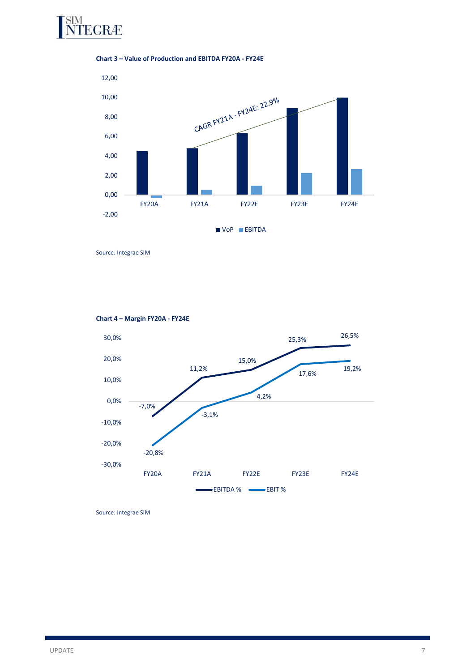

**Chart 3 – Value of Production and EBITDA FY20A - FY24E**



Source: Integrae SIM



**Chart 4 – Margin FY20A - FY24E**

Source: Integrae SIM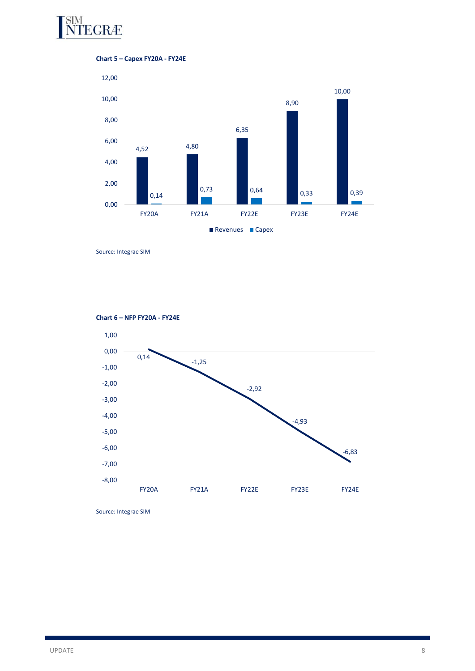





Source: Integrae SIM





Source: Integrae SIM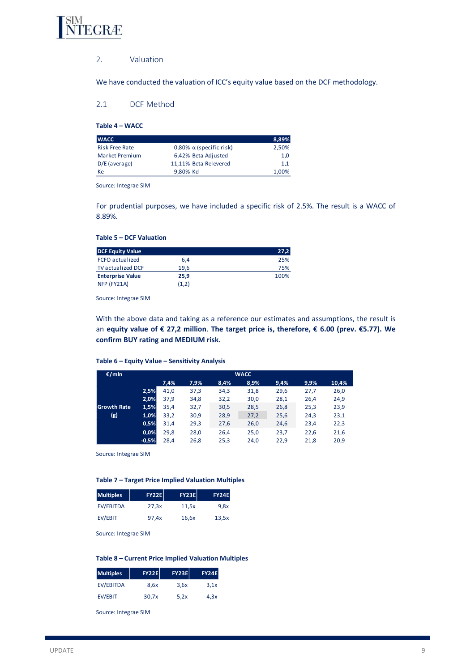

### 2. Valuation

We have conducted the valuation of ICC's equity value based on the DCF methodology.

# 2.1 DCF Method

**Table 4 – WACC**

| <b>WACC</b>           |                                   | 8,89%   |
|-----------------------|-----------------------------------|---------|
| <b>Risk Free Rate</b> | $0.80\%$ $\alpha$ (specific risk) | 2.50%   |
| Market Premium        | 6,42% Beta Adjusted               | 1,0     |
| D/E (average)         | 11,11% Beta Relevered             | $1.1\,$ |
| Кe                    | 9.80% Kd                          | 1.00%   |

Source: Integrae SIM

For prudential purposes, we have included a specific risk of 2.5%. The result is a WACC of 8.89%.

#### **Table 5 – DCF Valuation**

| <b>DCF Equity Value</b>  |       | 27,2 |
|--------------------------|-------|------|
| <b>FCFO</b> actualized   | 6.4   | 25%  |
| <b>TV</b> actualized DCF | 19.6  | 75%  |
| <b>Enterprise Value</b>  | 25.9  | 100% |
| NFP (FY21A)              | (1,2) |      |

Source: Integrae SIM

With the above data and taking as a reference our estimates and assumptions, the result is an **equity value of € 27,2 million**. **The target price is, therefore, € 6.00 (prev. €5.77). We confirm BUY rating and MEDIUM risk.**

## **Table 6 – Equity Value – Sensitivity Analysis**

| €/mln              |         |      |      |      | <b>WACC</b> |      |      |       |
|--------------------|---------|------|------|------|-------------|------|------|-------|
|                    |         | 7,4% | 7,9% | 8,4% | 8,9%        | 9,4% | 9.9% | 10,4% |
|                    | 2,5%    | 41,0 | 37,3 | 34,3 | 31,8        | 29,6 | 27,7 | 26,0  |
|                    | 2,0%    | 37,9 | 34,8 | 32,2 | 30,0        | 28,1 | 26,4 | 24,9  |
| <b>Growth Rate</b> | 1,5%    | 35,4 | 32,7 | 30,5 | 28,5        | 26,8 | 25,3 | 23,9  |
| (g)                | 1,0%    | 33,2 | 30,9 | 28,9 | 27,2        | 25,6 | 24,3 | 23,1  |
|                    | 0,5%    | 31,4 | 29,3 | 27,6 | 26,0        | 24,6 | 23,4 | 22,3  |
|                    | 0,0%    | 29,8 | 28,0 | 26,4 | 25,0        | 23,7 | 22,6 | 21,6  |
|                    | $-0,5%$ | 28,4 | 26,8 | 25,3 | 24,0        | 22,9 | 21,8 | 20,9  |

Source: Integrae SIM

#### **Table 7 – Target Price Implied Valuation Multiples**

| <b>Multiples</b> | <b>FY22E</b> | <b>FY23E</b> | <b>FY24E</b> |
|------------------|--------------|--------------|--------------|
| <b>EV/EBITDA</b> | 27,3x        | 11,5x        | 9.8x         |
| EV/EBIT          | 97.4x        | 16,6x        | 13,5x        |

Source: Integrae SIM

#### **Table 8 – Current Price Implied Valuation Multiples**

| <b>Multiples</b> | <b>FY22EI</b> | <b>FY23EI</b> | <b>FY24E</b> |
|------------------|---------------|---------------|--------------|
| EV/EBITDA        | 8.6x          | 3.6x          | 3.1x         |
| EV/EBIT          | 30.7x         | 5.2x          | 4.3x         |

Source: Integrae SIM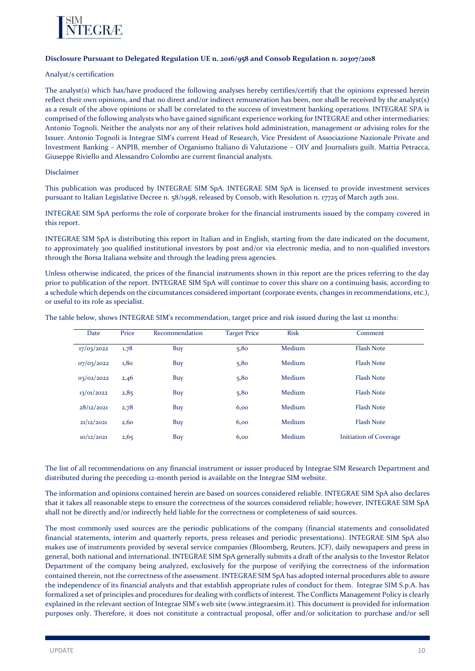

### **Disclosure Pursuant to Delegated Regulation UE n. 2016/958 and Consob Regulation n. 20307/2018**

#### Analyst/s certification

The analyst(s) which has/have produced the following analyses hereby certifies/certify that the opinions expressed herein reflect their own opinions, and that no direct and/or indirect remuneration has been, nor shall be received by the analyst(s) as a result of the above opinions or shall be correlated to the success of investment banking operations. INTEGRAE SPA is comprised of the following analysts who have gained significant experience working for INTEGRAE and other intermediaries: Antonio Tognoli. Neither the analysts nor any of their relatives hold administration, management or advising roles for the Issuer. Antonio Tognoli is Integrae SIM's current Head of Research, Vice President of Associazione Nazionale Private and Investment Banking – ANPIB, member of Organismo Italiano di Valutazione – OIV and Journalists guilt. Mattia Petracca, Giuseppe Riviello and Alessandro Colombo are current financial analysts.

### Disclaimer

This publication was produced by INTEGRAE SIM SpA. INTEGRAE SIM SpA is licensed to provide investment services pursuant to Italian Legislative Decree n. 58/1998, released by Consob, with Resolution n. 17725 of March 29th 2011.

INTEGRAE SIM SpA performs the role of corporate broker for the financial instruments issued by the company covered in this report.

INTEGRAE SIM SpA is distributing this report in Italian and in English, starting from the date indicated on the document, to approximately 300 qualified institutional investors by post and/or via electronic media, and to non-qualified investors through the Borsa Italiana website and through the leading press agencies.

Unless otherwise indicated, the prices of the financial instruments shown in this report are the prices referring to the day prior to publication of the report. INTEGRAE SIM SpA will continue to cover this share on a continuing basis, according to a schedule which depends on the circumstances considered important (corporate events, changes in recommendations, etc.), or useful to its role as specialist.

The table below, shows INTEGRAE SIM's recommendation, target price and risk issued during the last 12 months:

| Date       | Price | Recommendation | <b>Target Price</b> | <b>Risk</b> | Comment                |
|------------|-------|----------------|---------------------|-------------|------------------------|
| 17/03/2022 | 1,78  | Buy            | 5,80                | Medium      | <b>Flash Note</b>      |
| 07/03/2022 | 1,80  | Buy            | 5,80                | Medium      | <b>Flash Note</b>      |
| 03/02/2022 | 2,46  | Buy            | 5,80                | Medium      | <b>Flash Note</b>      |
| 13/01/2022 | 2,85  | Buy            | 5,80                | Medium      | <b>Flash Note</b>      |
| 28/12/2021 | 2,78  | Buy            | 6,00                | Medium      | <b>Flash Note</b>      |
| 21/12/2021 | 2,60  | Buy            | 6,00                | Medium      | <b>Flash Note</b>      |
| 10/12/2021 | 2,65  | Buy            | 6,00                | Medium      | Initiation of Coverage |

The list of all recommendations on any financial instrument or issuer produced by Integrae SIM Research Department and distributed during the preceding 12-month period is available on the Integrae SIM website.

The information and opinions contained herein are based on sources considered reliable. INTEGRAE SIM SpA also declares that it takes all reasonable steps to ensure the correctness of the sources considered reliable; however, INTEGRAE SIM SpA shall not be directly and/or indirectly held liable for the correctness or completeness of said sources.

The most commonly used sources are the periodic publications of the company (financial statements and consolidated financial statements, interim and quarterly reports, press releases and periodic presentations). INTEGRAE SIM SpA also makes use of instruments provided by several service companies (Bloomberg, Reuters, JCF), daily newspapers and press in general, both national and international. INTEGRAE SIM SpA generally submits a draft of the analysis to the Investor Relator Department of the company being analyzed, exclusively for the purpose of verifying the correctness of the information contained therein, not the correctness of the assessment. INTEGRAE SIM SpA has adopted internal procedures able to assure the independence of its financial analysts and that establish appropriate rules of conduct for them. Integrae SIM S.p.A. has formalized a set of principles and procedures for dealing with conflicts of interest. The Conflicts Management Policy is clearly explained in the relevant section of Integrae SIM's web site (www.integraesim.it). This document is provided for information purposes only. Therefore, it does not constitute a contractual proposal, offer and/or solicitation to purchase and/or sell